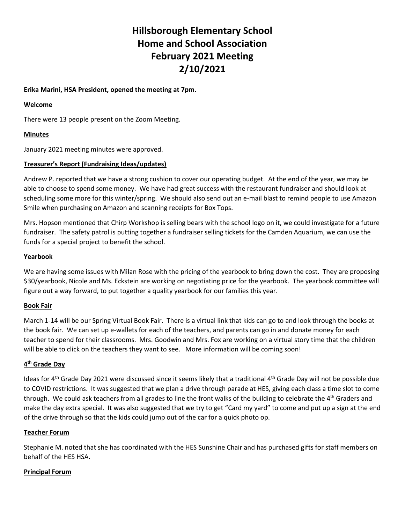# **Hillsborough Elementary School Home and School Association February 2021 Meeting 2/10/2021**

# **Erika Marini, HSA President, opened the meeting at 7pm.**

#### **Welcome**

There were 13 people present on the Zoom Meeting.

# **Minutes**

January 2021 meeting minutes were approved.

## **Treasurer's Report (Fundraising Ideas/updates)**

Andrew P. reported that we have a strong cushion to cover our operating budget. At the end of the year, we may be able to choose to spend some money. We have had great success with the restaurant fundraiser and should look at scheduling some more for this winter/spring. We should also send out an e-mail blast to remind people to use Amazon Smile when purchasing on Amazon and scanning receipts for Box Tops.

Mrs. Hopson mentioned that Chirp Workshop is selling bears with the school logo on it, we could investigate for a future fundraiser. The safety patrol is putting together a fundraiser selling tickets for the Camden Aquarium, we can use the funds for a special project to benefit the school.

## **Yearbook**

We are having some issues with Milan Rose with the pricing of the yearbook to bring down the cost. They are proposing \$30/yearbook, Nicole and Ms. Eckstein are working on negotiating price for the yearbook. The yearbook committee will figure out a way forward, to put together a quality yearbook for our families this year.

#### **Book Fair**

March 1-14 will be our Spring Virtual Book Fair. There is a virtual link that kids can go to and look through the books at the book fair. We can set up e-wallets for each of the teachers, and parents can go in and donate money for each teacher to spend for their classrooms. Mrs. Goodwin and Mrs. Fox are working on a virtual story time that the children will be able to click on the teachers they want to see. More information will be coming soon!

#### **4 th Grade Day**

Ideas for 4<sup>th</sup> Grade Day 2021 were discussed since it seems likely that a traditional 4<sup>th</sup> Grade Day will not be possible due to COVID restrictions. It was suggested that we plan a drive through parade at HES, giving each class a time slot to come through. We could ask teachers from all grades to line the front walks of the building to celebrate the 4<sup>th</sup> Graders and make the day extra special. It was also suggested that we try to get "Card my yard" to come and put up a sign at the end of the drive through so that the kids could jump out of the car for a quick photo op.

#### **Teacher Forum**

Stephanie M. noted that she has coordinated with the HES Sunshine Chair and has purchased gifts for staff members on behalf of the HES HSA.

#### **Principal Forum**